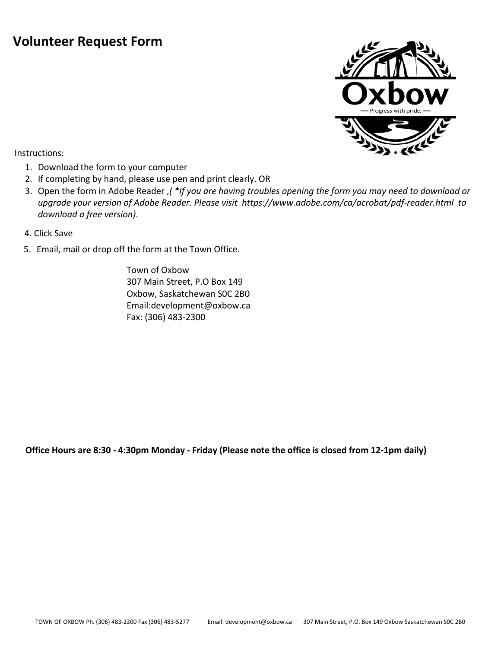## **Volunteer Request Form**



Instructions:

- 1. Download the form to your computer
- 2. If completing by hand, please use pen and print clearly. OR
- 3. Open the form in Adobe Reader ,*( \*If you are having troubles opening the form you may need to download or upgrade your version of Adobe Reader. Please visit <https://www.adobe.com/ca/acrobat/pdf-reader.html>to download a free version)*.
- 4. Click Save
- 5. Email, mail or drop off the form at the Town Office.

Town of Oxbow 307 Main Street, P.O Box 149 Oxbow, Saskatchewan S0C 2B0 Email:development@oxbow.ca Fax: (306) 483-2300

**Office Hours are 8:30 - 4:30pm Monday - Friday (Please note the office is closed from 12-1pm daily)**